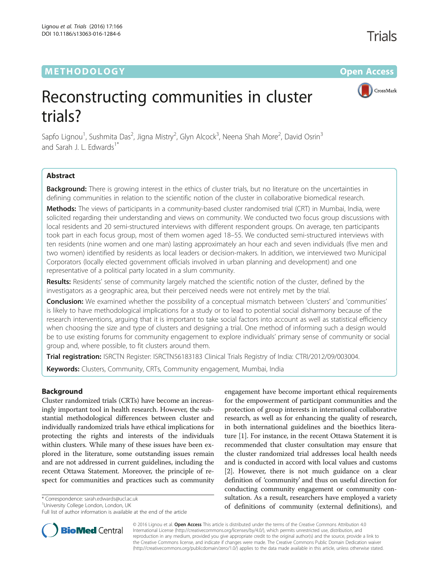# **METHODOLOGY CONSUMING ACCESS CONSUMING ACCESS**



Trials

# Reconstructing communities in cluster trials?

Sapfo Lignou<sup>1</sup>, Sushmita Das<sup>2</sup>, Jigna Mistry<sup>2</sup>, Glyn Alcock<sup>3</sup>, Neena Shah More<sup>2</sup>, David Osrin<sup>3</sup> and Sarah J. L. Edwards<sup>1</sup>

# Abstract

Background: There is growing interest in the ethics of cluster trials, but no literature on the uncertainties in defining communities in relation to the scientific notion of the cluster in collaborative biomedical research.

Methods: The views of participants in a community-based cluster randomised trial (CRT) in Mumbai, India, were solicited regarding their understanding and views on community. We conducted two focus group discussions with local residents and 20 semi-structured interviews with different respondent groups. On average, ten participants took part in each focus group, most of them women aged 18–55. We conducted semi-structured interviews with ten residents (nine women and one man) lasting approximately an hour each and seven individuals (five men and two women) identified by residents as local leaders or decision-makers. In addition, we interviewed two Municipal Corporators (locally elected government officials involved in urban planning and development) and one representative of a political party located in a slum community.

Results: Residents' sense of community largely matched the scientific notion of the cluster, defined by the investigators as a geographic area, but their perceived needs were not entirely met by the trial.

Conclusion: We examined whether the possibility of a conceptual mismatch between 'clusters' and 'communities' is likely to have methodological implications for a study or to lead to potential social disharmony because of the research interventions, arguing that it is important to take social factors into account as well as statistical efficiency when choosing the size and type of clusters and designing a trial. One method of informing such a design would be to use existing forums for community engagement to explore individuals' primary sense of community or social group and, where possible, to fit clusters around them.

Trial registration: ISRCTN Register: [ISRCTN56183183](http://www.isrctn.com/ISRCTN56183183) Clinical Trials Registry of India: [CTRI/2012/09/003004](http://www.ctri.nic.in/Clinicaltrials/pmaindet2.php?trialid=2761).

**Keywords:** Clusters, Community, CRTs, Community engagement, Mumbai, India

# Background

Cluster randomized trials (CRTs) have become an increasingly important tool in health research. However, the substantial methodological differences between cluster and individually randomized trials have ethical implications for protecting the rights and interests of the individuals within clusters. While many of these issues have been explored in the literature, some outstanding issues remain and are not addressed in current guidelines, including the recent Ottawa Statement. Moreover, the principle of respect for communities and practices such as community

\* Correspondence: [sarah.edwards@ucl.ac.uk](mailto:sarah.edwards@ucl.ac.uk) <sup>1</sup>

**BioMed** Central

<sup>1</sup>University College London, London, UK

Full list of author information is available at the end of the article



© 2016 Lignou et al. Open Access This article is distributed under the terms of the Creative Commons Attribution 4.0 International License [\(http://creativecommons.org/licenses/by/4.0/](http://creativecommons.org/licenses/by/4.0/)), which permits unrestricted use, distribution, and reproduction in any medium, provided you give appropriate credit to the original author(s) and the source, provide a link to the Creative Commons license, and indicate if changes were made. The Creative Commons Public Domain Dedication waiver [\(http://creativecommons.org/publicdomain/zero/1.0/](http://creativecommons.org/publicdomain/zero/1.0/)) applies to the data made available in this article, unless otherwise stated.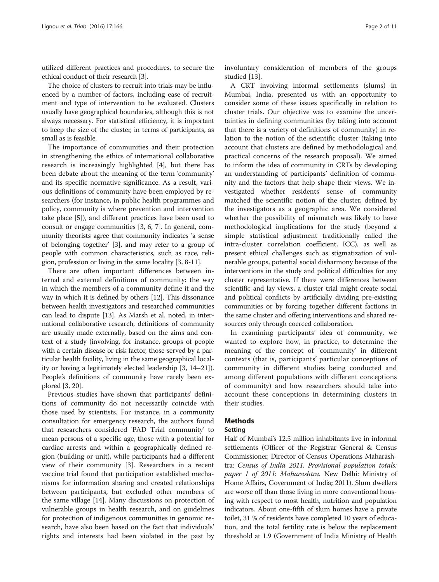utilized different practices and procedures, to secure the ethical conduct of their research [\[3](#page-9-0)].

The choice of clusters to recruit into trials may be influenced by a number of factors, including ease of recruitment and type of intervention to be evaluated. Clusters usually have geographical boundaries, although this is not always necessary. For statistical efficiency, it is important to keep the size of the cluster, in terms of participants, as small as is feasible.

The importance of communities and their protection in strengthening the ethics of international collaborative research is increasingly highlighted [[4\]](#page-9-0), but there has been debate about the meaning of the term 'community' and its specific normative significance. As a result, various definitions of community have been employed by researchers (for instance, in public health programmes and policy, community is where prevention and intervention take place [\[5](#page-9-0)]), and different practices have been used to consult or engage communities [\[3](#page-9-0), [6](#page-9-0), [7](#page-9-0)]. In general, community theorists agree that community indicates 'a sense of belonging together' [[3](#page-9-0)], and may refer to a group of people with common characteristics, such as race, religion, profession or living in the same locality [\[3, 8-11](#page-9-0)].

There are often important differences between internal and external definitions of community: the way in which the members of a community define it and the way in which it is defined by others [\[12\]](#page-9-0). This dissonance between health investigators and researched communities can lead to dispute [\[13\]](#page-9-0). As Marsh et al. noted, in international collaborative research, definitions of community are usually made externally, based on the aims and context of a study (involving, for instance, groups of people with a certain disease or risk factor, those served by a particular health facility, living in the same geographical locality or having a legitimately elected leadership [[3, 14](#page-9-0)–[21](#page-9-0)]). People's definitions of community have rarely been explored [\[3, 20](#page-9-0)].

Previous studies have shown that participants' definitions of community do not necessarily coincide with those used by scientists. For instance, in a community consultation for emergency research, the authors found that researchers considered 'PAD Trial community' to mean persons of a specific age, those with a potential for cardiac arrests and within a geographically defined region (building or unit), while participants had a different view of their community [\[3\]](#page-9-0). Researchers in a recent vaccine trial found that participation established mechanisms for information sharing and created relationships between participants, but excluded other members of the same village [\[14\]](#page-9-0). Many discussions on protection of vulnerable groups in health research, and on guidelines for protection of indigenous communities in genomic research, have also been based on the fact that individuals' rights and interests had been violated in the past by

involuntary consideration of members of the groups studied [\[13](#page-9-0)].

A CRT involving informal settlements (slums) in Mumbai, India, presented us with an opportunity to consider some of these issues specifically in relation to cluster trials. Our objective was to examine the uncertainties in defining communities (by taking into account that there is a variety of definitions of community) in relation to the notion of the scientific cluster (taking into account that clusters are defined by methodological and practical concerns of the research proposal). We aimed to inform the idea of community in CRTs by developing an understanding of participants' definition of community and the factors that help shape their views. We investigated whether residents' sense of community matched the scientific notion of the cluster, defined by the investigators as a geographic area. We considered whether the possibility of mismatch was likely to have methodological implications for the study (beyond a simple statistical adjustment traditionally called the intra-cluster correlation coefficient, ICC), as well as present ethical challenges such as stigmatization of vulnerable groups, potential social disharmony because of the interventions in the study and political difficulties for any cluster representative. If there were differences between scientific and lay views, a cluster trial might create social and political conflicts by artificially dividing pre-existing communities or by forcing together different factions in the same cluster and offering interventions and shared resources only through coerced collaboration.

In examining participants' idea of community, we wanted to explore how, in practice, to determine the meaning of the concept of 'community' in different contexts (that is, participants' particular conceptions of community in different studies being conducted and among different populations with different conceptions of community) and how researchers should take into account these conceptions in determining clusters in their studies.

## Methods

#### Setting

Half of Mumbai's 12.5 million inhabitants live in informal settlements (Officer of the Registrar General & Census Commissioner, Director of Census Operations Maharashtra: Census of India 2011. Provisional population totals: paper 1 of 2011: Maharashtra. New Delhi: Ministry of Home Affairs, Government of India; 2011). Slum dwellers are worse off than those living in more conventional housing with respect to most health, nutrition and population indicators. About one-fifth of slum homes have a private toilet, 31 % of residents have completed 10 years of education, and the total fertility rate is below the replacement threshold at 1.9 (Government of India Ministry of Health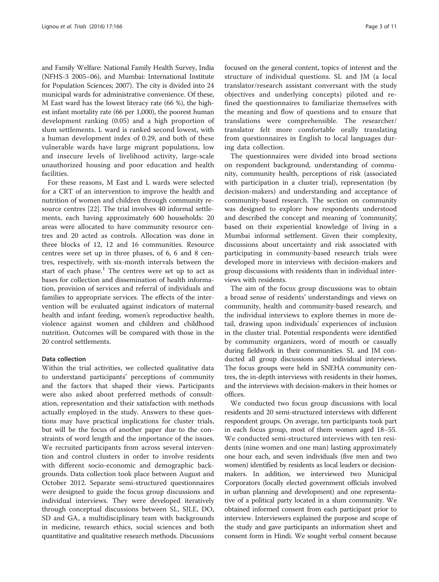and Family Welfare: National Family Health Survey, India (NFHS-3 2005–06), and Mumbai: International Institute for Population Sciences; 2007). The city is divided into 24 municipal wards for administrative convenience. Of these, M East ward has the lowest literacy rate (66 %), the highest infant mortality rate (66 per 1,000), the poorest human development ranking (0.05) and a high proportion of slum settlements. L ward is ranked second lowest, with a human development index of 0.29, and both of these vulnerable wards have large migrant populations, low and insecure levels of livelihood activity, large-scale unauthorized housing and poor education and health facilities.

For these reasons, M East and L wards were selected for a CRT of an intervention to improve the health and nutrition of women and children through community resource centres [\[22\]](#page-9-0). The trial involves 40 informal settlements, each having approximately 600 households: 20 areas were allocated to have community resource centres and 20 acted as controls. Allocation was done in three blocks of 12, 12 and 16 communities. Resource centres were set up in three phases, of 6, 6 and 8 centres, respectively, with six-month intervals between the start of each phase.<sup>1</sup> The centres were set up to act as bases for collection and dissemination of health information, provision of services and referral of individuals and families to appropriate services. The effects of the intervention will be evaluated against indicators of maternal health and infant feeding, women's reproductive health, violence against women and children and childhood nutrition. Outcomes will be compared with those in the 20 control settlements.

## Data collection

Within the trial activities, we collected qualitative data to understand participants' perceptions of community and the factors that shaped their views. Participants were also asked about preferred methods of consultation, representation and their satisfaction with methods actually employed in the study. Answers to these questions may have practical implications for cluster trials, but will be the focus of another paper due to the constraints of word length and the importance of the issues. We recruited participants from across several intervention and control clusters in order to involve residents with different socio-economic and demographic backgrounds. Data collection took place between August and October 2012. Separate semi-structured questionnaires were designed to guide the focus group discussions and individual interviews. They were developed iteratively through conceptual discussions between SL, SJLE, DO, SD and GA, a multidisciplinary team with backgrounds in medicine, research ethics, social sciences and both quantitative and qualitative research methods. Discussions focused on the general content, topics of interest and the structure of individual questions. SL and JM (a local translator/research assistant conversant with the study objectives and underlying concepts) piloted and refined the questionnaires to familiarize themselves with the meaning and flow of questions and to ensure that translations were comprehensible. The researcher/ translator felt more comfortable orally translating from questionnaires in English to local languages during data collection.

The questionnaires were divided into broad sections on respondent background, understanding of community, community health, perceptions of risk (associated with participation in a cluster trial), representation (by decision-makers) and understanding and acceptance of community-based research. The section on community was designed to explore how respondents understood and described the concept and meaning of 'community', based on their experiential knowledge of living in a Mumbai informal settlement. Given their complexity, discussions about uncertainty and risk associated with participating in community-based research trials were developed more in interviews with decision-makers and group discussions with residents than in individual interviews with residents.

The aim of the focus group discussions was to obtain a broad sense of residents' understandings and views on community, health and community-based research, and the individual interviews to explore themes in more detail, drawing upon individuals' experiences of inclusion in the cluster trial. Potential respondents were identified by community organizers, word of mouth or casually during fieldwork in their communities. SL and JM conducted all group discussions and individual interviews. The focus groups were held in SNEHA community centres, the in-depth interviews with residents in their homes, and the interviews with decision-makers in their homes or offices.

We conducted two focus group discussions with local residents and 20 semi-structured interviews with different respondent groups. On average, ten participants took part in each focus group, most of them women aged 18–55. We conducted semi-structured interviews with ten residents (nine women and one man) lasting approximately one hour each, and seven individuals (five men and two women) identified by residents as local leaders or decisionmakers. In addition, we interviewed two Municipal Corporators (locally elected government officials involved in urban planning and development) and one representative of a political party located in a slum community. We obtained informed consent from each participant prior to interview. Interviewers explained the purpose and scope of the study and gave participants an information sheet and consent form in Hindi. We sought verbal consent because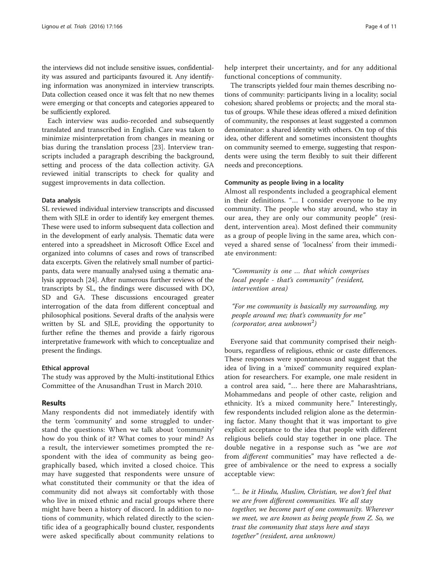the interviews did not include sensitive issues, confidentiality was assured and participants favoured it. Any identifying information was anonymized in interview transcripts. Data collection ceased once it was felt that no new themes were emerging or that concepts and categories appeared to be sufficiently explored.

Each interview was audio-recorded and subsequently translated and transcribed in English. Care was taken to minimize misinterpretation from changes in meaning or bias during the translation process [[23\]](#page-9-0). Interview transcripts included a paragraph describing the background, setting and process of the data collection activity. GA reviewed initial transcripts to check for quality and suggest improvements in data collection.

#### Data analysis

SL reviewed individual interview transcripts and discussed them with SJLE in order to identify key emergent themes. These were used to inform subsequent data collection and in the development of early analysis. Thematic data were entered into a spreadsheet in Microsoft Office Excel and organized into columns of cases and rows of transcribed data excerpts. Given the relatively small number of participants, data were manually analysed using a thematic analysis approach [\[24\]](#page-9-0). After numerous further reviews of the transcripts by SL, the findings were discussed with DO, SD and GA. These discussions encouraged greater interrogation of the data from different conceptual and philosophical positions. Several drafts of the analysis were written by SL and SJLE, providing the opportunity to further refine the themes and provide a fairly rigorous interpretative framework with which to conceptualize and present the findings.

#### Ethical approval

The study was approved by the Multi-institutional Ethics Committee of the Anusandhan Trust in March 2010.

#### Results

Many respondents did not immediately identify with the term 'community' and some struggled to understand the questions: When we talk about 'community' how do you think of it? What comes to your mind? As a result, the interviewer sometimes prompted the respondent with the idea of community as being geographically based, which invited a closed choice. This may have suggested that respondents were unsure of what constituted their community or that the idea of community did not always sit comfortably with those who live in mixed ethnic and racial groups where there might have been a history of discord. In addition to notions of community, which related directly to the scientific idea of a geographically bound cluster, respondents were asked specifically about community relations to help interpret their uncertainty, and for any additional functional conceptions of community.

The transcripts yielded four main themes describing notions of community: participants living in a locality; social cohesion; shared problems or projects; and the moral status of groups. While these ideas offered a mixed definition of community, the responses at least suggested a common denominator: a shared identity with others. On top of this idea, other different and sometimes inconsistent thoughts on community seemed to emerge, suggesting that respondents were using the term flexibly to suit their different needs and preconceptions.

#### Community as people living in a locality

Almost all respondents included a geographical element in their definitions. "… I consider everyone to be my community. The people who stay around, who stay in our area, they are only our community people" (resident, intervention area). Most defined their community as a group of people living in the same area, which conveyed a shared sense of 'localness' from their immediate environment:

"Community is one … that which comprises local people - that's community" (resident, intervention area)

"For me community is basically my surrounding, my people around me; that's community for me"  $(corporator, area unknown<sup>2</sup>)$ 

Everyone said that community comprised their neighbours, regardless of religious, ethnic or caste differences. These responses were spontaneous and suggest that the idea of living in a 'mixed' community required explanation for researchers. For example, one male resident in a control area said, "… here there are Maharashtrians, Mohammedans and people of other caste, religion and ethnicity. It's a mixed community here." Interestingly, few respondents included religion alone as the determining factor. Many thought that it was important to give explicit acceptance to the idea that people with different religious beliefs could stay together in one place. The double negative in a response such as "we are not from different communities" may have reflected a degree of ambivalence or the need to express a socially acceptable view:

"… be it Hindu, Muslim, Christian, we don't feel that we are from different communities. We all stay together, we become part of one community. Wherever we meet, we are known as being people from Z. So, we trust the community that stays here and stays together" (resident, area unknown)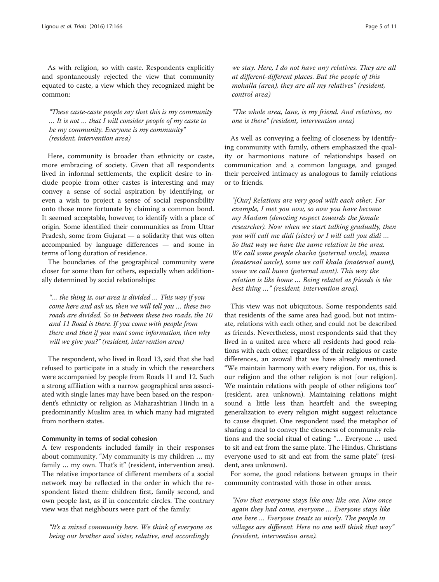As with religion, so with caste. Respondents explicitly and spontaneously rejected the view that community equated to caste, a view which they recognized might be common:

"These caste-caste people say that this is my community … It is not … that I will consider people of my caste to be my community. Everyone is my community" (resident, intervention area)

Here, community is broader than ethnicity or caste, more embracing of society. Given that all respondents lived in informal settlements, the explicit desire to include people from other castes is interesting and may convey a sense of social aspiration by identifying, or even a wish to project a sense of social responsibility onto those more fortunate by claiming a common bond. It seemed acceptable, however, to identify with a place of origin. Some identified their communities as from Uttar Pradesh, some from Gujarat — a solidarity that was often accompanied by language differences — and some in terms of long duration of residence.

The boundaries of the geographical community were closer for some than for others, especially when additionally determined by social relationships:

"… the thing is, our area is divided … This way if you come here and ask us, then we will tell you … these two roads are divided. So in between these two roads, the 10 and 11 Road is there. If you come with people from there and then if you want some information, then why will we give you?" (resident, intervention area)

The respondent, who lived in Road 13, said that she had refused to participate in a study in which the researchers were accompanied by people from Roads 11 and 12. Such a strong affiliation with a narrow geographical area associated with single lanes may have been based on the respondent's ethnicity or religion as Maharashtrian Hindu in a predominantly Muslim area in which many had migrated from northern states.

# Community in terms of social cohesion

A few respondents included family in their responses about community. "My community is my children … my family ... my own. That's it" (resident, intervention area). The relative importance of different members of a social network may be reflected in the order in which the respondent listed them: children first, family second, and own people last, as if in concentric circles. The contrary view was that neighbours were part of the family:

"It's a mixed community here. We think of everyone as being our brother and sister, relative, and accordingly

we stay. Here, I do not have any relatives. They are all at different-different places. But the people of this mohalla (area), they are all my relatives" (resident, control area)

# "The whole area, lane, is my friend. And relatives, no one is there" (resident, intervention area)

As well as conveying a feeling of closeness by identifying community with family, others emphasized the quality or harmonious nature of relationships based on communication and a common language, and gauged their perceived intimacy as analogous to family relations or to friends.

"[Our] Relations are very good with each other. For example, I met you now, so now you have become my Madam (denoting respect towards the female researcher). Now when we start talking gradually, then you will call me didi (sister) or I will call you didi … So that way we have the same relation in the area. We call some people chacha (paternal uncle), mama (maternal uncle), some we call khala (maternal aunt), some we call buwa (paternal aunt). This way the relation is like home … Being related as friends is the best thing …" (resident, intervention area).

This view was not ubiquitous. Some respondents said that residents of the same area had good, but not intimate, relations with each other, and could not be described as friends. Nevertheless, most respondents said that they lived in a united area where all residents had good relations with each other, regardless of their religious or caste differences, an avowal that we have already mentioned. "We maintain harmony with every religion. For us, this is our religion and the other religion is not [our religion]. We maintain relations with people of other religions too" (resident, area unknown). Maintaining relations might sound a little less than heartfelt and the sweeping generalization to every religion might suggest reluctance to cause disquiet. One respondent used the metaphor of sharing a meal to convey the closeness of community relations and the social ritual of eating: "… Everyone … used to sit and eat from the same plate. The Hindus, Christians everyone used to sit and eat from the same plate" (resident, area unknown).

For some, the good relations between groups in their community contrasted with those in other areas.

"Now that everyone stays like one; like one. Now once again they had come, everyone … Everyone stays like one here … Everyone treats us nicely. The people in villages are different. Here no one will think that way" (resident, intervention area).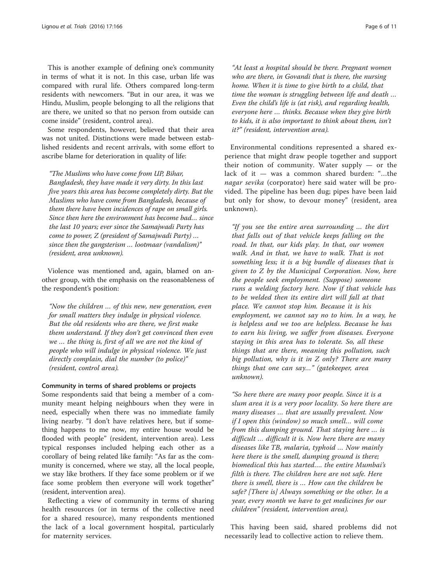This is another example of defining one's community in terms of what it is not. In this case, urban life was compared with rural life. Others compared long-term residents with newcomers. "But in our area, it was we Hindu, Muslim, people belonging to all the religions that are there, we united so that no person from outside can come inside" (resident, control area).

Some respondents, however, believed that their area was not united. Distinctions were made between established residents and recent arrivals, with some effort to ascribe blame for deterioration in quality of life:

"The Muslims who have come from UP, Bihar, Bangladesh, they have made it very dirty. In this last five years this area has become completely dirty. But the Muslims who have come from Bangladesh, because of them there have been incidences of rape on small girls. Since then here the environment has become bad… since the last 10 years; ever since the Samajwadi Party has come to power, Z (president of Samajwadi Party) … since then the gangsterism … lootmaar (vandalism)" (resident, area unknown).

Violence was mentioned and, again, blamed on another group, with the emphasis on the reasonableness of the respondent's position:

"Now the children … of this new, new generation, even for small matters they indulge in physical violence. But the old residents who are there, we first make them understand. If they don't get convinced then even we … the thing is, first of all we are not the kind of people who will indulge in physical violence. We just directly complain, dial the number (to police)" (resident, control area).

#### Community in terms of shared problems or projects

Some respondents said that being a member of a community meant helping neighbours when they were in need, especially when there was no immediate family living nearby. "I don't have relatives here, but if something happens to me now, my entire house would be flooded with people" (resident, intervention area). Less typical responses included helping each other as a corollary of being related like family: "As far as the community is concerned, where we stay, all the local people, we stay like brothers. If they face some problem or if we face some problem then everyone will work together" (resident, intervention area).

Reflecting a view of community in terms of sharing health resources (or in terms of the collective need for a shared resource), many respondents mentioned the lack of a local government hospital, particularly for maternity services.

"At least a hospital should be there. Pregnant women who are there, in Govandi that is there, the nursing home. When it is time to give birth to a child, that time the woman is struggling between life and death … Even the child's life is (at risk), and regarding health, everyone here … thinks. Because when they give birth to kids, it is also important to think about them, isn't it?" (resident, intervention area).

Environmental conditions represented a shared experience that might draw people together and support their notion of community. Water supply — or the lack of it — was a common shared burden: "…the nagar sevika (corporator) here said water will be provided. The pipeline has been dug; pipes have been laid but only for show, to devour money" (resident, area unknown).

"If you see the entire area surrounding … the dirt that falls out of that vehicle keeps falling on the road. In that, our kids play. In that, our women walk. And in that, we have to walk. That is not something less; it is a big bundle of diseases that is given to Z by the Municipal Corporation. Now, here the people seek employment. (Suppose) someone runs a welding factory here. Now if that vehicle has to be welded then its entire dirt will fall at that place. We cannot stop him. Because it is his employment, we cannot say no to him. In a way, he is helpless and we too are helpless. Because he has to earn his living, we suffer from diseases. Everyone staying in this area has to tolerate. So, all these things that are there, meaning this pollution, such big pollution, why is it in Z only? There are many things that one can say…" (gatekeeper, area unknown).

"So here there are many poor people. Since it is a slum area it is a very poor locality. So here there are many diseases … that are usually prevalent. Now if I open this (window) so much smell… will come from this dumping ground. That staying here … is difficult … difficult it is. Now here there are many diseases like TB, malaria, typhoid … Now mainly here there is the smell, dumping ground is there; biomedical this has started…. the entire Mumbai's filth is there. The children here are not safe. Here there is smell, there is … How can the children be safe? [There is] Always something or the other. In a year, every month we have to get medicines for our children" (resident, intervention area).

This having been said, shared problems did not necessarily lead to collective action to relieve them.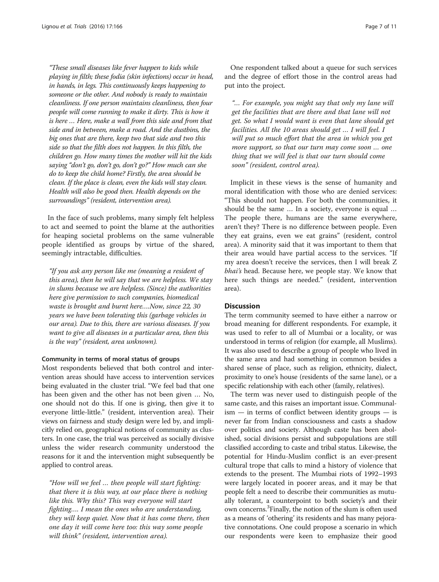"These small diseases like fever happen to kids while playing in filth; these fodia (skin infections) occur in head, in hands, in legs. This continuously keeps happening to someone or the other. And nobody is ready to maintain cleanliness. If one person maintains cleanliness, then four people will come running to make it dirty. This is how it is here … Here, make a wall from this side and from that side and in between, make a road. And the dustbins, the big ones that are there, keep two that side and two this side so that the filth does not happen. In this filth, the children go. How many times the mother will hit the kids saying "don't go, don't go, don't go?" How much can she do to keep the child home? Firstly, the area should be clean. If the place is clean, even the kids will stay clean. Health will also be good then. Health depends on the surroundings" (resident, intervention area).

In the face of such problems, many simply felt helpless to act and seemed to point the blame at the authorities for heaping societal problems on the same vulnerable people identified as groups by virtue of the shared, seemingly intractable, difficulties.

"If you ask any person like me (meaning a resident of this area), then he will say that we are helpless. We stay in slums because we are helpless. (Since) the authorities here give permission to such companies, biomedical waste is brought and burnt here….Now, since 22, 30 years we have been tolerating this (garbage vehicles in our area). Due to this, there are various diseases. If you want to give all diseases in a particular area, then this is the way" (resident, area unknown).

#### Community in terms of moral status of groups

Most respondents believed that both control and intervention areas should have access to intervention services being evaluated in the cluster trial. "We feel bad that one has been given and the other has not been given … No, one should not do this. If one is giving, then give it to everyone little-little." (resident, intervention area). Their views on fairness and study design were led by, and implicitly relied on, geographical notions of community as clusters. In one case, the trial was perceived as socially divisive unless the wider research community understood the reasons for it and the intervention might subsequently be applied to control areas.

"How will we feel … then people will start fighting: that there it is this way, at our place there is nothing like this. Why this? This way everyone will start fighting…. I mean the ones who are understanding, they will keep quiet. Now that it has come there, then one day it will come here too: this way some people will think" (resident, intervention area).

One respondent talked about a queue for such services and the degree of effort those in the control areas had put into the project.

"… For example, you might say that only my lane will get the facilities that are there and that lane will not get. So what I would want is even that lane should get facilities. All the 10 areas should get … I will feel. I will put so much effort that the area in which you get more support, so that our turn may come soon … one thing that we will feel is that our turn should come soon" (resident, control area).

Implicit in these views is the sense of humanity and moral identification with those who are denied services: "This should not happen. For both the communities, it should be the same … In a society, everyone is equal … The people there, humans are the same everywhere, aren't they? There is no difference between people. Even they eat grains, even we eat grains" (resident, control area). A minority said that it was important to them that their area would have partial access to the services. "If my area doesn't receive the services, then I will break Z bhai's head. Because here, we people stay. We know that here such things are needed." (resident, intervention area).

# **Discussion**

The term community seemed to have either a narrow or broad meaning for different respondents. For example, it was used to refer to all of Mumbai or a locality, or was understood in terms of religion (for example, all Muslims). It was also used to describe a group of people who lived in the same area and had something in common besides a shared sense of place, such as religion, ethnicity, dialect, proximity to one's house (residents of the same lane), or a specific relationship with each other (family, relatives).

The term was never used to distinguish people of the same caste, and this raises an important issue. Communal- $\lim$  — in terms of conflict between identity groups — is never far from Indian consciousness and casts a shadow over politics and society. Although caste has been abolished, social divisions persist and subpopulations are still classified according to caste and tribal status. Likewise, the potential for Hindu-Muslim conflict is an ever-present cultural trope that calls to mind a history of violence that extends to the present. The Mumbai riots of 1992–1993 were largely located in poorer areas, and it may be that people felt a need to describe their communities as mutually tolerant, a counterpoint to both society's and their own concerns.3 Finally, the notion of the slum is often used as a means of 'othering' its residents and has many pejorative connotations. One could propose a scenario in which our respondents were keen to emphasize their good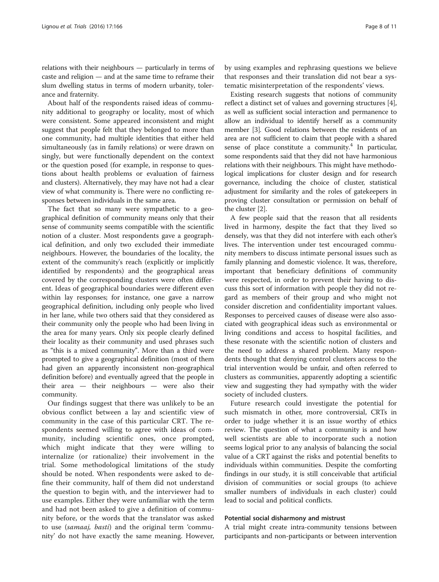relations with their neighbours — particularly in terms of caste and religion — and at the same time to reframe their slum dwelling status in terms of modern urbanity, tolerance and fraternity.

About half of the respondents raised ideas of community additional to geography or locality, most of which were consistent. Some appeared inconsistent and might suggest that people felt that they belonged to more than one community, had multiple identities that either held simultaneously (as in family relations) or were drawn on singly, but were functionally dependent on the context or the question posed (for example, in response to questions about health problems or evaluation of fairness and clusters). Alternatively, they may have not had a clear view of what community is. There were no conflicting responses between individuals in the same area.

The fact that so many were sympathetic to a geographical definition of community means only that their sense of community seems compatible with the scientific notion of a cluster. Most respondents gave a geographical definition, and only two excluded their immediate neighbours. However, the boundaries of the locality, the extent of the community's reach (explicitly or implicitly identified by respondents) and the geographical areas covered by the corresponding clusters were often different. Ideas of geographical boundaries were different even within lay responses; for instance, one gave a narrow geographical definition, including only people who lived in her lane, while two others said that they considered as their community only the people who had been living in the area for many years. Only six people clearly defined their locality as their community and used phrases such as "this is a mixed community". More than a third were prompted to give a geographical definition (most of them had given an apparently inconsistent non-geographical definition before) and eventually agreed that the people in their area — their neighbours — were also their community.

Our findings suggest that there was unlikely to be an obvious conflict between a lay and scientific view of community in the case of this particular CRT. The respondents seemed willing to agree with ideas of community, including scientific ones, once prompted, which might indicate that they were willing to internalize (or rationalize) their involvement in the trial. Some methodological limitations of the study should be noted. When respondents were asked to define their community, half of them did not understand the question to begin with, and the interviewer had to use examples. Either they were unfamiliar with the term and had not been asked to give a definition of community before, or the words that the translator was asked to use (samaaj, basti) and the original term 'community' do not have exactly the same meaning. However,

by using examples and rephrasing questions we believe that responses and their translation did not bear a systematic misinterpretation of the respondents' views.

Existing research suggests that notions of community reflect a distinct set of values and governing structures [[4](#page-9-0)], as well as sufficient social interaction and permanence to allow an individual to identify herself as a community member [\[3](#page-9-0)]. Good relations between the residents of an area are not sufficient to claim that people with a shared sense of place constitute a community. $4$  In particular, some respondents said that they did not have harmonious relations with their neighbours. This might have methodological implications for cluster design and for research governance, including the choice of cluster, statistical adjustment for similarity and the roles of gatekeepers in proving cluster consultation or permission on behalf of the cluster [\[2](#page-9-0)].

A few people said that the reason that all residents lived in harmony, despite the fact that they lived so densely, was that they did not interfere with each other's lives. The intervention under test encouraged community members to discuss intimate personal issues such as family planning and domestic violence. It was, therefore, important that beneficiary definitions of community were respected, in order to prevent their having to discuss this sort of information with people they did not regard as members of their group and who might not consider discretion and confidentiality important values. Responses to perceived causes of disease were also associated with geographical ideas such as environmental or living conditions and access to hospital facilities, and these resonate with the scientific notion of clusters and the need to address a shared problem. Many respondents thought that denying control clusters access to the trial intervention would be unfair, and often referred to clusters as communities, apparently adopting a scientific view and suggesting they had sympathy with the wider society of included clusters.

Future research could investigate the potential for such mismatch in other, more controversial, CRTs in order to judge whether it is an issue worthy of ethics review. The question of what a community is and how well scientists are able to incorporate such a notion seems logical prior to any analysis of balancing the social value of a CRT against the risks and potential benefits to individuals within communities. Despite the comforting findings in our study, it is still conceivable that artificial division of communities or social groups (to achieve smaller numbers of individuals in each cluster) could lead to social and political conflicts.

#### Potential social disharmony and mistrust

A trial might create intra-community tensions between participants and non-participants or between intervention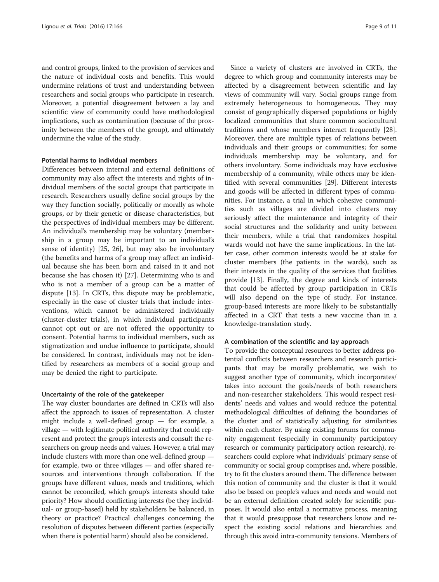and control groups, linked to the provision of services and the nature of individual costs and benefits. This would undermine relations of trust and understanding between researchers and social groups who participate in research. Moreover, a potential disagreement between a lay and scientific view of community could have methodological implications, such as contamination (because of the proximity between the members of the group), and ultimately undermine the value of the study.

#### Potential harms to individual members

Differences between internal and external definitions of community may also affect the interests and rights of individual members of the social groups that participate in research. Researchers usually define social groups by the way they function socially, politically or morally as whole groups, or by their genetic or disease characteristics, but the perspectives of individual members may be different. An individual's membership may be voluntary (membership in a group may be important to an individual's sense of identity) [\[25,](#page-9-0) [26](#page-10-0)], but may also be involuntary (the benefits and harms of a group may affect an individual because she has been born and raised in it and not because she has chosen it) [\[27](#page-10-0)]. Determining who is and who is not a member of a group can be a matter of dispute [\[13](#page-9-0)]. In CRTs, this dispute may be problematic, especially in the case of cluster trials that include interventions, which cannot be administered individually (cluster-cluster trials), in which individual participants cannot opt out or are not offered the opportunity to consent. Potential harms to individual members, such as stigmatization and undue influence to participate, should be considered. In contrast, individuals may not be identified by researchers as members of a social group and may be denied the right to participate.

#### Uncertainty of the role of the gatekeeper

The way cluster boundaries are defined in CRTs will also affect the approach to issues of representation. A cluster might include a well-defined group — for example, a village — with legitimate political authority that could represent and protect the group's interests and consult the researchers on group needs and values. However, a trial may include clusters with more than one well-defined group for example, two or three villages — and offer shared resources and interventions through collaboration. If the groups have different values, needs and traditions, which cannot be reconciled, which group's interests should take priority? How should conflicting interests (be they individual- or group-based) held by stakeholders be balanced, in theory or practice? Practical challenges concerning the resolution of disputes between different parties (especially when there is potential harm) should also be considered.

Since a variety of clusters are involved in CRTs, the degree to which group and community interests may be affected by a disagreement between scientific and lay views of community will vary. Social groups range from extremely heterogeneous to homogeneous. They may consist of geographically dispersed populations or highly localized communities that share common sociocultural traditions and whose members interact frequently [\[28](#page-10-0)]. Moreover, there are multiple types of relations between individuals and their groups or communities; for some individuals membership may be voluntary, and for others involuntary. Some individuals may have exclusive membership of a community, while others may be identified with several communities [\[29\]](#page-10-0). Different interests and goods will be affected in different types of communities. For instance, a trial in which cohesive communities such as villages are divided into clusters may seriously affect the maintenance and integrity of their social structures and the solidarity and unity between their members, while a trial that randomizes hospital wards would not have the same implications. In the latter case, other common interests would be at stake for cluster members (the patients in the wards), such as their interests in the quality of the services that facilities provide [\[13\]](#page-9-0). Finally, the degree and kinds of interests that could be affected by group participation in CRTs will also depend on the type of study. For instance, group-based interests are more likely to be substantially affected in a CRT that tests a new vaccine than in a knowledge-translation study.

#### A combination of the scientific and lay approach

To provide the conceptual resources to better address potential conflicts between researchers and research participants that may be morally problematic, we wish to suggest another type of community, which incorporates/ takes into account the goals/needs of both researchers and non-researcher stakeholders. This would respect residents' needs and values and would reduce the potential methodological difficulties of defining the boundaries of the cluster and of statistically adjusting for similarities within each cluster. By using existing forums for community engagement (especially in community participatory research or community participatory action research), researchers could explore what individuals' primary sense of community or social group comprises and, where possible, try to fit the clusters around them. The difference between this notion of community and the cluster is that it would also be based on people's values and needs and would not be an external definition created solely for scientific purposes. It would also entail a normative process, meaning that it would presuppose that researchers know and respect the existing social relations and hierarchies and through this avoid intra-community tensions. Members of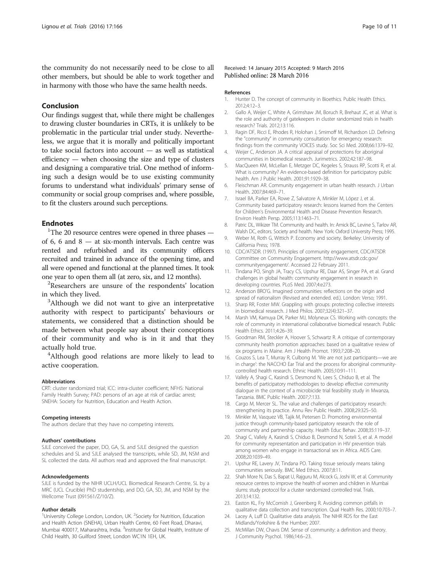<span id="page-9-0"></span>the community do not necessarily need to be close to all other members, but should be able to work together and in harmony with those who have the same health needs.

#### Conclusion

Our findings suggest that, while there might be challenges to drawing cluster boundaries in CRTs, it is unlikely to be problematic in the particular trial under study. Nevertheless, we argue that it is morally and politically important to take social factors into account — as well as statistical efficiency — when choosing the size and type of clusters and designing a comparative trial. One method of informing such a design would be to use existing community forums to understand what individuals' primary sense of community or social group comprises and, where possible, to fit the clusters around such perceptions.

## **Endnotes**

<sup>1</sup>The 20 resource centres were opened in three phases  $$ of 6, 6 and 8 — at six-month intervals. Each centre was rented and refurbished and its community officers recruited and trained in advance of the opening time, and all were opened and functional at the planned times. It took one year to open them all (at zero, six, and 12 months). <sup>2</sup>

<sup>2</sup>Researchers are unsure of the respondents' location in which they lived.

<sup>3</sup>Although we did not want to give an interpretative authority with respect to participants' behaviours or statements, we considered that a distinction should be made between what people say about their conceptions of their community and who is in it and that they actually hold true. <sup>4</sup>

<sup>4</sup>Although good relations are more likely to lead to active cooperation.

#### Abbreviations

CRT: cluster randomized trial; ICC: intra-cluster coefficient; NFHS: National Family Health Survey; PAD: persons of an age at risk of cardiac arrest; SNEHA: Society for Nutrition, Education and Health Action.

#### Competing interests

The authors declare that they have no competing interests.

#### Authors' contributions

SJLE conceived the paper, DO, GA, SL and SJLE designed the question schedules and SL and SJLE analysed the transcripts, while SD, JM, NSM and SL collected the data. All authors read and approved the final manuscript.

#### Acknowledgements

SJLE is funded by the NIHR UCLH/UCL Biomedical Research Centre, SL by a MRC (UCL Crucible) PhD studentship, and DO, GA, SD, JM, and NSM by the Wellcome Trust (091561/Z/10/Z).

#### Author details

<sup>1</sup>University College London, London, UK. <sup>2</sup>Society for Nutrition, Education and Health Action (SNEHA), Urban Health Centre, 60 Feet Road, Dharavi, Mumbai 400017, Maharashtra, India. <sup>3</sup>Institute for Global Health, Institute of Child Health, 30 Guilford Street, London WC1N 1EH, UK.

#### Received: 14 January 2015 Accepted: 9 March 2016 Published online: 28 March 2016

#### References

- 1. Hunter D. The concept of community in Bioethics. Public Health Ethics. 2012;4:12–3.
- 2. Gallo A, Weijer C, White A, Grimshaw JM, Boruch R, Brehaut JC, et al. What is the role and authority of gatekeepers in cluster randomized trials in health research? Trials. 2012;13:116.
- 3. Ragin DF, Ricci E, Rhodes R, Holohan J, Smirnoff M, Richardson LD. Defining the "community" in community consultation for emergency research: findings from the community VOICES study. Soc Sci Med. 2008;66:1379–92.
- 4. Weijer C, Anderson JA. A critical appraisal of protections for aboriginal communities in biomedical research. Jurimetrics. 2002;42:187–98.
- 5. MacQueen KM, McLellan E, Metzger DC, Kegeles S, Strauss RP, Scotti R, et al. What is community? An evidence-based definition for participatory public health. Am J Public Health. 2001;91:1929–38.
- 6. Fleischman AR. Community engagement in urban health research. J Urban Health. 2007;84:469–71.
- 7. Israel BA, Parker EA, Rowe Z, Salvatore A, Minkler M, López J, et al. Community based participatory research: lessons learned from the Centers for Children's Environmental Health and Disease Prevention Research. Environ Health Persp. 2005;113:1463–71.
- 8. Patric DL, Wikizer TM. Community and health. In: Amick BC, Levine S, Tarlov AR, Walsh DC, editors. Society and health. New York: Oxford University Press; 1995.
- 9. Weber M, Roth G, Wittich P. Economy and society. Berkeley: University of California Press; 1978.
- 10. CDC/ATSDR. (1997). Principles of community engagement, CDC/ATSDR Committee on Community Engagement. [http://www.atsdr.cdc.gov/](http://www.atsdr.cdc.gov/communityengagement/) [communityengagement/.](http://www.atsdr.cdc.gov/communityengagement/) Accessed 22 February 2011.
- 11. Tindana PO, Singh JA, Tracy CS, Upshur RE, Daar AS, Singer PA, et al. Grand challenges in global health: community engagement in research in developing countries. PLoS Med. 2007;4:e273.
- 12. Anderson BRO'G. Imagined communities: reflections on the origin and spread of nationalism (Revised and extended. ed.). London: Verso; 1991.
- 13. Sharp RR, Foster MW. Grappling with groups: protecting collective interests in biomedical research. J Med Philos. 2007;32(4):321–37.
- 14. Marsh VM, Kamuya DK, Parker MJ, Molyneux CS. Working with concepts: the role of community in international collaborative biomedical research. Public Health Ethics. 2011;4:26–39.
- 15. Goodman RM, Steckler A, Hoover S, Schwartz R. A critique of contemporary community health promotion approaches: based on a qualitative review of six programs in Maine. Am J Health Promot. 1993;7:208–20.
- 16. Couzos S, Lea T, Murray R, Culbong M. 'We are not just participants—we are in charge': the NACCHO Ear Trial and the process for aboriginal communitycontrolled health research. Ethnic Health. 2005;10:91–111.
- 17. Vallely A, Shagi C, Kasindi S, Desmond N, Lees S, Chiduo B, et al. The benefits of participatory methodologies to develop effective community dialogue in the context of a microbicide trial feasibility study in Mwanza, Tanzania. BMC Public Health. 2007;7:133.
- 18. Cargo M, Mercer SL. The value and challenges of participatory research: strengthening its practice. Annu Rev Public Health. 2008;29:325–50.
- 19. Minkler M, Vasquez VB, Tajik M, Petersen D. Promoting environmental justice through community-based participatory research: the role of community and partnership capacity. Health Educ Behav. 2008;35:119–37.
- 20. Shagi C, Vallely A, Kasindi S, Chiduo B, Desmond N, Soteli S, et al. A model for community representation and participation in HIV prevention trials among women who engage in transactional sex in Africa. AIDS Care. 2008;20:1039–49.
- 21. Upshur RE, Lavery JV, Tindana PO. Taking tissue seriously means taking communities seriously. BMC Med Ethics. 2007;8:11.
- 22. Shah More N, Das S, Bapat U, Rajguru M, Alcock G, Joshi W, et al. Community resource centres to improve the health of women and children in Mumbai slums: study protocol for a cluster randomized controlled trial. Trials. 2013;14:132.
- 23. Easton KL, Fry McComish J, Greenberg R. Avoiding common pitfalls in qualitative data collection and transcription. Qual Health Res. 2000;10:703–7.
- 24. Lacey A, Luff D. Qualitative data analysis. The NIHR RDS for the East Midlands/Yorkshire & the Humber; 2007.
- 25. McMillan DW, Chavis DM. Sense of community: a definition and theory. J Community Psychol. 1986;14:6–23.